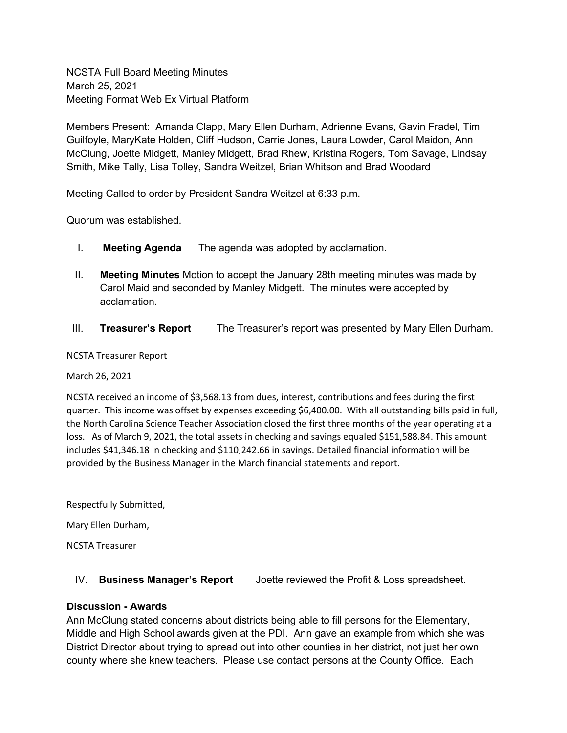NCSTA Full Board Meeting Minutes March 25, 2021 Meeting Format Web Ex Virtual Platform

Members Present: Amanda Clapp, Mary Ellen Durham, Adrienne Evans, Gavin Fradel, Tim Guilfoyle, MaryKate Holden, Cliff Hudson, Carrie Jones, Laura Lowder, Carol Maidon, Ann McClung, Joette Midgett, Manley Midgett, Brad Rhew, Kristina Rogers, Tom Savage, Lindsay Smith, Mike Tally, Lisa Tolley, Sandra Weitzel, Brian Whitson and Brad Woodard

Meeting Called to order by President Sandra Weitzel at 6:33 p.m.

Quorum was established.

- I. **Meeting Agenda** The agenda was adopted by acclamation.
- II. **Meeting Minutes** Motion to accept the January 28th meeting minutes was made by Carol Maid and seconded by Manley Midgett. The minutes were accepted by acclamation.
- III. **Treasurer's Report** The Treasurer's report was presented by Mary Ellen Durham.

NCSTA Treasurer Report

March 26, 2021

NCSTA received an income of \$3,568.13 from dues, interest, contributions and fees during the first quarter. This income was offset by expenses exceeding \$6,400.00. With all outstanding bills paid in full, the North Carolina Science Teacher Association closed the first three months of the year operating at a loss. As of March 9, 2021, the total assets in checking and savings equaled \$151,588.84. This amount includes \$41,346.18 in checking and \$110,242.66 in savings. Detailed financial information will be provided by the Business Manager in the March financial statements and report.

Respectfully Submitted,

Mary Ellen Durham,

NCSTA Treasurer

IV. **Business Manager's Report** Joette reviewed the Profit & Loss spreadsheet.

#### **Discussion - Awards**

Ann McClung stated concerns about districts being able to fill persons for the Elementary, Middle and High School awards given at the PDI. Ann gave an example from which she was District Director about trying to spread out into other counties in her district, not just her own county where she knew teachers. Please use contact persons at the County Office. Each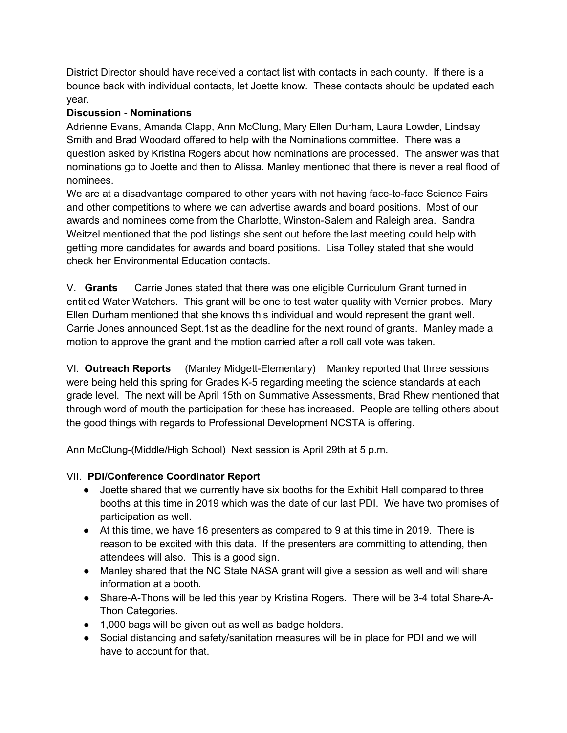District Director should have received a contact list with contacts in each county. If there is a bounce back with individual contacts, let Joette know. These contacts should be updated each year.

# **Discussion - Nominations**

Adrienne Evans, Amanda Clapp, Ann McClung, Mary Ellen Durham, Laura Lowder, Lindsay Smith and Brad Woodard offered to help with the Nominations committee. There was a question asked by Kristina Rogers about how nominations are processed. The answer was that nominations go to Joette and then to Alissa. Manley mentioned that there is never a real flood of nominees.

We are at a disadvantage compared to other years with not having face-to-face Science Fairs and other competitions to where we can advertise awards and board positions. Most of our awards and nominees come from the Charlotte, Winston-Salem and Raleigh area. Sandra Weitzel mentioned that the pod listings she sent out before the last meeting could help with getting more candidates for awards and board positions. Lisa Tolley stated that she would check her Environmental Education contacts.

V. **Grants** Carrie Jones stated that there was one eligible Curriculum Grant turned in entitled Water Watchers. This grant will be one to test water quality with Vernier probes. Mary Ellen Durham mentioned that she knows this individual and would represent the grant well. Carrie Jones announced Sept.1st as the deadline for the next round of grants. Manley made a motion to approve the grant and the motion carried after a roll call vote was taken.

VI. **Outreach Reports** (Manley Midgett-Elementary) Manley reported that three sessions were being held this spring for Grades K-5 regarding meeting the science standards at each grade level. The next will be April 15th on Summative Assessments, Brad Rhew mentioned that through word of mouth the participation for these has increased. People are telling others about the good things with regards to Professional Development NCSTA is offering.

Ann McClung-(Middle/High School) Next session is April 29th at 5 p.m.

# VII. **PDI/Conference Coordinator Report**

- Joette shared that we currently have six booths for the Exhibit Hall compared to three booths at this time in 2019 which was the date of our last PDI. We have two promises of participation as well.
- At this time, we have 16 presenters as compared to 9 at this time in 2019. There is reason to be excited with this data. If the presenters are committing to attending, then attendees will also. This is a good sign.
- Manley shared that the NC State NASA grant will give a session as well and will share information at a booth.
- Share-A-Thons will be led this year by Kristina Rogers. There will be 3-4 total Share-A-Thon Categories.
- 1,000 bags will be given out as well as badge holders.
- Social distancing and safety/sanitation measures will be in place for PDI and we will have to account for that.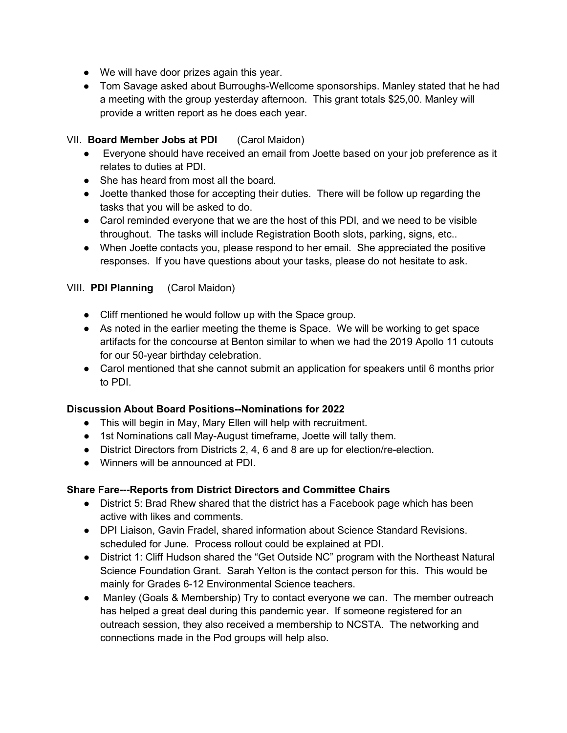- We will have door prizes again this year.
- Tom Savage asked about Burroughs-Wellcome sponsorships. Manley stated that he had a meeting with the group yesterday afternoon. This grant totals \$25,00. Manley will provide a written report as he does each year.

# VII. **Board Member Jobs at PDI** (Carol Maidon)

- Everyone should have received an email from Joette based on your job preference as it relates to duties at PDI.
- She has heard from most all the board.
- Joette thanked those for accepting their duties. There will be follow up regarding the tasks that you will be asked to do.
- Carol reminded everyone that we are the host of this PDI, and we need to be visible throughout. The tasks will include Registration Booth slots, parking, signs, etc..
- When Joette contacts you, please respond to her email. She appreciated the positive responses. If you have questions about your tasks, please do not hesitate to ask.

# VIII. **PDI Planning** (Carol Maidon)

- Cliff mentioned he would follow up with the Space group.
- As noted in the earlier meeting the theme is Space. We will be working to get space artifacts for the concourse at Benton similar to when we had the 2019 Apollo 11 cutouts for our 50-year birthday celebration.
- Carol mentioned that she cannot submit an application for speakers until 6 months prior to PDI.

# **Discussion About Board Positions--Nominations for 2022**

- This will begin in May, Mary Ellen will help with recruitment.
- 1st Nominations call May-August timeframe, Joette will tally them.
- District Directors from Districts 2, 4, 6 and 8 are up for election/re-election.
- Winners will be announced at PDI.

# **Share Fare---Reports from District Directors and Committee Chairs**

- District 5: Brad Rhew shared that the district has a Facebook page which has been active with likes and comments.
- DPI Liaison, Gavin Fradel, shared information about Science Standard Revisions. scheduled for June. Process rollout could be explained at PDI.
- District 1: Cliff Hudson shared the "Get Outside NC" program with the Northeast Natural Science Foundation Grant. Sarah Yelton is the contact person for this. This would be mainly for Grades 6-12 Environmental Science teachers.
- Manley (Goals & Membership) Try to contact everyone we can. The member outreach has helped a great deal during this pandemic year. If someone registered for an outreach session, they also received a membership to NCSTA. The networking and connections made in the Pod groups will help also.